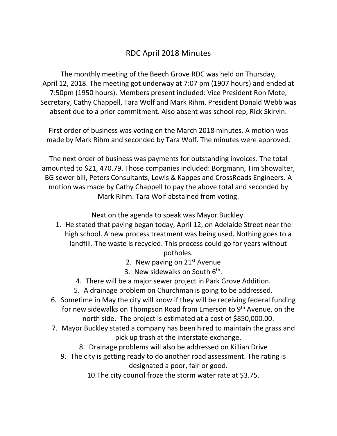## RDC April 2018 Minutes

The monthly meeting of the Beech Grove RDC was held on Thursday, April 12, 2018. The meeting got underway at 7:07 pm (1907 hours) and ended at 7:50pm (1950 hours). Members present included: Vice President Ron Mote, Secretary, Cathy Chappell, Tara Wolf and Mark Rihm. President Donald Webb was absent due to a prior commitment. Also absent was school rep, Rick Skirvin.

First order of business was voting on the March 2018 minutes. A motion was made by Mark Rihm and seconded by Tara Wolf. The minutes were approved.

The next order of business was payments for outstanding invoices. The total amounted to \$21, 470.79. Those companies included: Borgmann, Tim Showalter, BG sewer bill, Peters Consultants, Lewis & Kappes and CrossRoads Engineers. A motion was made by Cathy Chappell to pay the above total and seconded by Mark Rihm. Tara Wolf abstained from voting.

Next on the agenda to speak was Mayor Buckley.

- 1. He stated that paving began today, April 12, on Adelaide Street near the high school. A new process treatment was being used. Nothing goes to a landfill. The waste is recycled. This process could go for years without potholes.
	- 2. New paving on  $21<sup>st</sup>$  Avenue
	- 3. New sidewalks on South  $6<sup>th</sup>$ .
	- 4. There will be a major sewer project in Park Grove Addition.
	- 5. A drainage problem on Churchman is going to be addressed.
- 6. Sometime in May the city will know if they will be receiving federal funding for new sidewalks on Thompson Road from Emerson to 9<sup>th</sup> Avenue, on the north side. The project is estimated at a cost of \$850,000.00.
- 7. Mayor Buckley stated a company has been hired to maintain the grass and pick up trash at the interstate exchange.
	- 8. Drainage problems will also be addressed on Killian Drive
	- 9. The city is getting ready to do another road assessment. The rating is designated a poor, fair or good.

10.The city council froze the storm water rate at \$3.75.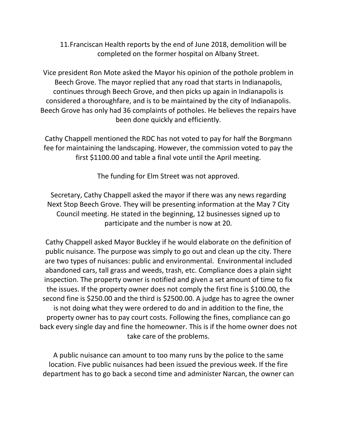11.Franciscan Health reports by the end of June 2018, demolition will be completed on the former hospital on Albany Street.

Vice president Ron Mote asked the Mayor his opinion of the pothole problem in Beech Grove. The mayor replied that any road that starts in Indianapolis, continues through Beech Grove, and then picks up again in Indianapolis is considered a thoroughfare, and is to be maintained by the city of Indianapolis. Beech Grove has only had 36 complaints of potholes. He believes the repairs have been done quickly and efficiently.

Cathy Chappell mentioned the RDC has not voted to pay for half the Borgmann fee for maintaining the landscaping. However, the commission voted to pay the first \$1100.00 and table a final vote until the April meeting.

The funding for Elm Street was not approved.

Secretary, Cathy Chappell asked the mayor if there was any news regarding Next Stop Beech Grove. They will be presenting information at the May 7 City Council meeting. He stated in the beginning, 12 businesses signed up to participate and the number is now at 20.

Cathy Chappell asked Mayor Buckley if he would elaborate on the definition of public nuisance. The purpose was simply to go out and clean up the city. There are two types of nuisances: public and environmental. Environmental included abandoned cars, tall grass and weeds, trash, etc. Compliance does a plain sight inspection. The property owner is notified and given a set amount of time to fix the issues. If the property owner does not comply the first fine is \$100.00, the second fine is \$250.00 and the third is \$2500.00. A judge has to agree the owner is not doing what they were ordered to do and in addition to the fine, the property owner has to pay court costs. Following the fines, compliance can go back every single day and fine the homeowner. This is if the home owner does not take care of the problems.

A public nuisance can amount to too many runs by the police to the same location. Five public nuisances had been issued the previous week. If the fire department has to go back a second time and administer Narcan, the owner can